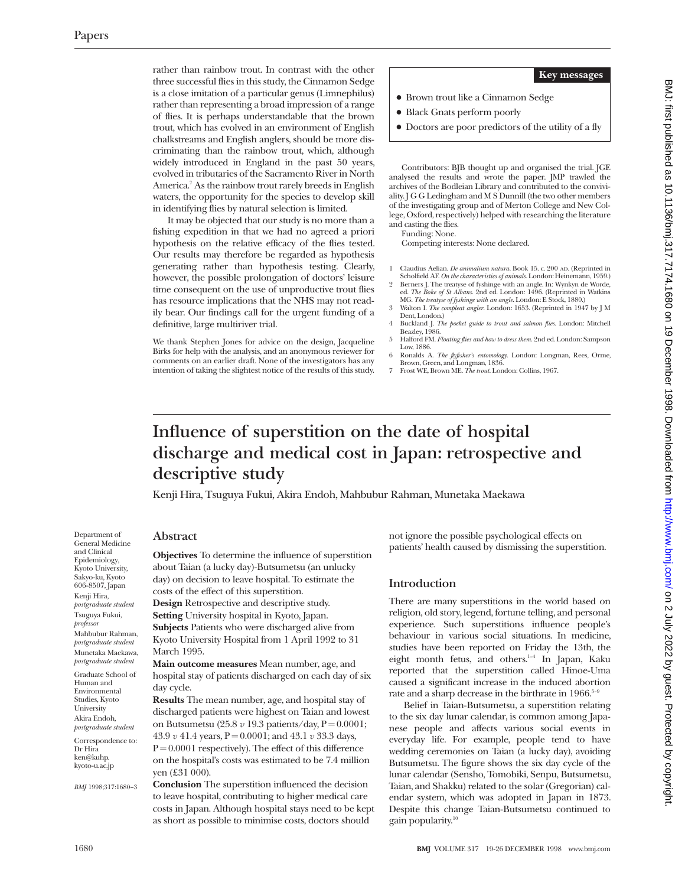rather than rainbow trout. In contrast with the other three successful flies in this study, the Cinnamon Sedge is a close imitation of a particular genus (Limnephilus) rather than representing a broad impression of a range of flies. It is perhaps understandable that the brown trout, which has evolved in an environment of English chalkstreams and English anglers, should be more discriminating than the rainbow trout, which, although widely introduced in England in the past 50 years, evolved in tributaries of the Sacramento River in North America.<sup>7</sup> As the rainbow trout rarely breeds in English waters, the opportunity for the species to develop skill in identifying flies by natural selection is limited.

It may be objected that our study is no more than a fishing expedition in that we had no agreed a priori hypothesis on the relative efficacy of the flies tested. Our results may therefore be regarded as hypothesis generating rather than hypothesis testing. Clearly, however, the possible prolongation of doctors' leisure time consequent on the use of unproductive trout flies has resource implications that the NHS may not readily bear. Our findings call for the urgent funding of a definitive, large multiriver trial.

We thank Stephen Jones for advice on the design, Jacqueline Birks for help with the analysis, and an anonymous reviewer for comments on an earlier draft. None of the investigators has any intention of taking the slightest notice of the results of this study.

#### **Key messages**

- $\bullet$  Brown trout like a Cinnamon Sedge
- Black Gnats perform poorly
- Doctors are poor predictors of the utility of a fly

Contributors: BJB thought up and organised the trial. JGE analysed the results and wrote the paper. JMP trawled the archives of the Bodleian Library and contributed to the conviviality. J G G Ledingham and M S Dunnill (the two other members of the investigating group and of Merton College and New College, Oxford, respectively) helped with researching the literature and casting the flies.

Funding: None.

Competing interests: None declared.

- Claudius Aelian. *De animalium natura*. Book 15. c. 200 AD. (Reprinted in
- Scholfield AF. *On the characteristics of animals*. London: Heinemann, 1959.) 2 Berners J. The treatyse of fyshinge with an angle. In: Wynkyn de Worde, ed. *The Boke of St Albans*. 2nd ed. London: 1496. (Reprinted in Watkins
- MG. *The treatyse of fyshinge with an angle*. London: E Stock, 1880.) 3 Walton I. *The compleat angler*. London: 1653. (Reprinted in 1947 by J M
- Dent, London.) 4 Buckland J. *The pocket guide to trout and salmon flies*. London: Mitchell Beazley, 1986.
- 5 Halford FM. *Floating flies and how to dress them*. 2nd ed. London: Sampson Low, 1886.
- 6 Ronalds A. *The flyfisher's entomology*. London: Longman, Rees, Orme, Brown, Green, and Longman, 1836.
- 7 Frost WE, Brown ME. *The trout*. London: Collins, 1967.

# **Influence of superstition on the date of hospital discharge and medical cost in Japan: retrospective and descriptive study**

Kenji Hira, Tsuguya Fukui, Akira Endoh, Mahbubur Rahman, Munetaka Maekawa

## **Abstract**

Department of General Medicine and Clinical Epidemiology, Kyoto University, Sakyo-ku, Kyoto 606-8507, Japan Kenji Hira, *postgraduate student* Tsuguya Fukui, *professor* Mahbubur Rahman, *postgraduate student* Munetaka Maekawa, *postgraduate student*

Graduate School of Human and Environmental Studies, Kyoto University Akira Endoh, *postgraduate student*

Correspondence to: Dr Hira ken@kuhp. kyoto-u.ac.jp

*BMJ* 1998;317:1680–3

**Objectives** To determine the influence of superstition about Taian (a lucky day)-Butsumetsu (an unlucky day) on decision to leave hospital. To estimate the costs of the effect of this superstition. **Design** Retrospective and descriptive study. **Setting** University hospital in Kyoto, Japan. **Subjects** Patients who were discharged alive from Kyoto University Hospital from 1 April 1992 to 31 March 1995. **Main outcome measures** Mean number, age, and hospital stay of patients discharged on each day of six day cycle.

**Results** The mean number, age, and hospital stay of discharged patients were highest on Taian and lowest on Butsumetsu (25.8 *v* 19.3 patients/day, P = 0.0001; 43.9 *v* 41.4 years, P = 0.0001; and 43.1 *v* 33.3 days,  $P = 0.0001$  respectively). The effect of this difference on the hospital's costs was estimated to be 7.4 million yen (£31 000).

**Conclusion** The superstition influenced the decision to leave hospital, contributing to higher medical care costs in Japan. Although hospital stays need to be kept as short as possible to minimise costs, doctors should

not ignore the possible psychological effects on patients' health caused by dismissing the superstition.

### **Introduction**

There are many superstitions in the world based on religion, old story, legend, fortune telling, and personal experience. Such superstitions influence people's behaviour in various social situations. In medicine, studies have been reported on Friday the 13th, the eight month fetus, and others. $1-4$  In Japan, Kaku reported that the superstition called Hinoe-Uma caused a significant increase in the induced abortion rate and a sharp decrease in the birthrate in 1966.<sup>5-1</sup>

Belief in Taian-Butsumetsu, a superstition relating to the six day lunar calendar, is common among Japanese people and affects various social events in everyday life. For example, people tend to have wedding ceremonies on Taian (a lucky day), avoiding Butsumetsu. The figure shows the six day cycle of the lunar calendar (Sensho, Tomobiki, Senpu, Butsumetsu, Taian, and Shakku) related to the solar (Gregorian) calendar system, which was adopted in Japan in 1873. Despite this change Taian-Butsumetsu continued to gain popularity.10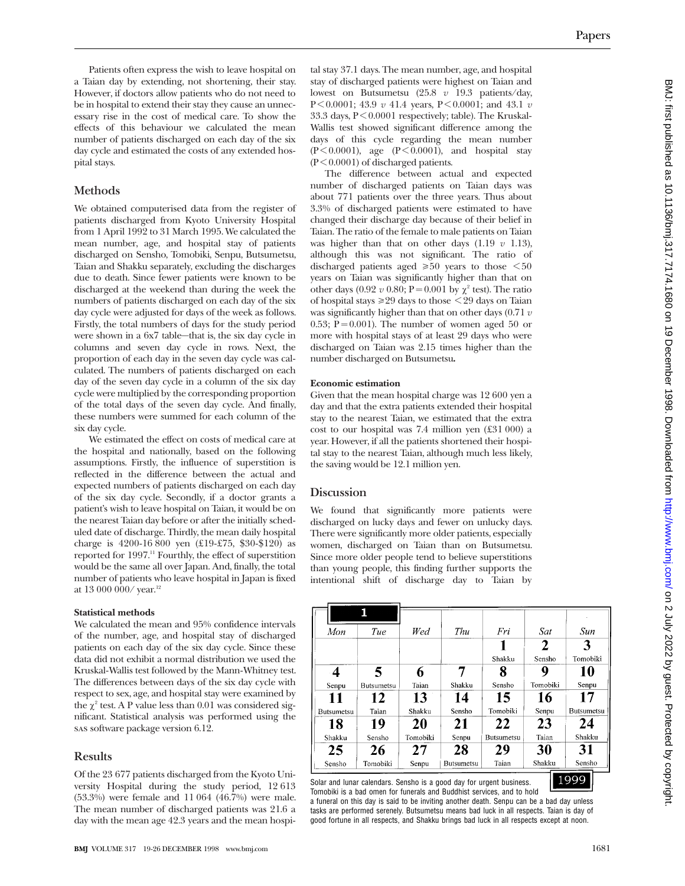Patients often express the wish to leave hospital on a Taian day by extending, not shortening, their stay. However, if doctors allow patients who do not need to be in hospital to extend their stay they cause an unnecessary rise in the cost of medical care. To show the effects of this behaviour we calculated the mean number of patients discharged on each day of the six day cycle and estimated the costs of any extended hospital stays.

## **Methods**

We obtained computerised data from the register of patients discharged from Kyoto University Hospital from 1 April 1992 to 31 March 1995. We calculated the mean number, age, and hospital stay of patients discharged on Sensho, Tomobiki, Senpu, Butsumetsu, Taian and Shakku separately, excluding the discharges due to death. Since fewer patients were known to be discharged at the weekend than during the week the numbers of patients discharged on each day of the six day cycle were adjusted for days of the week as follows. Firstly, the total numbers of days for the study period were shown in a 6x7 table—that is, the six day cycle in columns and seven day cycle in rows. Next, the proportion of each day in the seven day cycle was calculated. The numbers of patients discharged on each day of the seven day cycle in a column of the six day cycle were multiplied by the corresponding proportion of the total days of the seven day cycle. And finally, these numbers were summed for each column of the six day cycle.

We estimated the effect on costs of medical care at the hospital and nationally, based on the following assumptions. Firstly, the influence of superstition is reflected in the difference between the actual and expected numbers of patients discharged on each day of the six day cycle. Secondly, if a doctor grants a patient's wish to leave hospital on Taian, it would be on the nearest Taian day before or after the initially scheduled date of discharge. Thirdly, the mean daily hospital charge is 4200-16 800 yen (£19-£75, \$30-\$120) as reported for 1997.<sup>11</sup> Fourthly, the effect of superstition would be the same all over Japan. And, finally, the total number of patients who leave hospital in Japan is fixed at 13 000 000/ year.<sup>12</sup>

#### **Statistical methods**

We calculated the mean and 95% confidence intervals of the number, age, and hospital stay of discharged patients on each day of the six day cycle. Since these data did not exhibit a normal distribution we used the Kruskal-Wallis test followed by the Mann-Whitney test. The differences between days of the six day cycle with respect to sex, age, and hospital stay were examined by the  $\chi^2$  test. A P value less than 0.01 was considered significant. Statistical analysis was performed using the sas software package version 6.12.

## **Results**

Of the 23 677 patients discharged from the Kyoto University Hospital during the study period, 12 613 (53.3%) were female and 11 064 (46.7%) were male. The mean number of discharged patients was 21.6 a day with the mean age 42.3 years and the mean hospital stay 37.1 days. The mean number, age, and hospital stay of discharged patients were highest on Taian and lowest on Butsumetsu (25.8 *v* 19.3 patients/day, P < 0.0001; 43.9 *v* 41.4 years, P < 0.0001; and 43.1 *v* 33.3 days, P < 0.0001 respectively; table). The Kruskal-Wallis test showed significant difference among the days of this cycle regarding the mean number  $(P<0.0001)$ , age  $(P<0.0001)$ , and hospital stay  $(P<0.0001)$  of discharged patients.

The difference between actual and expected number of discharged patients on Taian days was about 771 patients over the three years. Thus about 3.3% of discharged patients were estimated to have changed their discharge day because of their belief in Taian. The ratio of the female to male patients on Taian was higher than that on other days (1.19 *v* 1.13), although this was not significant. The ratio of discharged patients aged  $\geq 50$  years to those  $\leq 50$ years on Taian was significantly higher than that on other days (0.92  $v$  0.80; P = 0.001 by  $\chi^2$  test). The ratio of hospital stays  $\geq 29$  days to those  $\leq 29$  days on Taian was significantly higher than that on other days (0.71 *v* 0.53;  $P = 0.001$ ). The number of women aged 50 or more with hospital stays of at least 29 days who were discharged on Taian was 2.15 times higher than the number discharged on Butsumetsu**.**

#### **Economic estimation**

Given that the mean hospital charge was 12 600 yen a day and that the extra patients extended their hospital stay to the nearest Taian, we estimated that the extra cost to our hospital was 7.4 million yen (£31 000) a year. However, if all the patients shortened their hospital stay to the nearest Taian, although much less likely, the saving would be 12.1 million yen.

### **Discussion**

We found that significantly more patients were discharged on lucky days and fewer on unlucky days. There were significantly more older patients, especially women, discharged on Taian than on Butsumetsu. Since more older people tend to believe superstitions than young people, this finding further supports the intentional shift of discharge day to Taian by

| Mon               | Tue        | Wed      | Thu        | Fri                                                                 | Sat      | Sun               |  |
|-------------------|------------|----------|------------|---------------------------------------------------------------------|----------|-------------------|--|
|                   |            |          |            |                                                                     | 2        | 3                 |  |
|                   |            |          |            | Shakku                                                              | Sensho   | Tomobiki          |  |
|                   | 5          |          |            | 8                                                                   | 9        | 10                |  |
| Senpu             | Butsumetsu | Taian    | Shakku     | Sensho                                                              | Tomobiki | Senpu             |  |
| 11                | 12         | 13       | 14         | 15                                                                  | 16       | 17                |  |
| <b>Butsumetsu</b> | Taian      | Shakku   | Sensho     | Tomobiki                                                            | Senpu    | <b>Butsumetsu</b> |  |
| 18                | 19         | 20       | 21         | 22                                                                  | 23       | 24                |  |
| Shakku            | Sensho     | Tomobiki | Senpu      | <b>Butsumetsu</b>                                                   | Taian    | Shakku            |  |
| 25                | 26         | 27       | 28         | 29                                                                  | 30       | 31                |  |
| Sensho            | Tomobiki   | Senpu    | Butsumetsu | Taian                                                               | Shakku   | Sensho            |  |
|                   |            |          |            | iolar and lunar calendars. Sensho is a good day for urgent business |          | 1999              |  |

Solar and lunar calendars. Sensho is a good day for urgent business. Tomobiki is a bad omen for funerals and Buddhist services, and to hold

a funeral on this day is said to be inviting another death. Senpu can be a bad day unless tasks are performed serenely. Butsumetsu means bad luck in all respects. Taian is day of good fortune in all respects, and Shakku brings bad luck in all respects except at noon.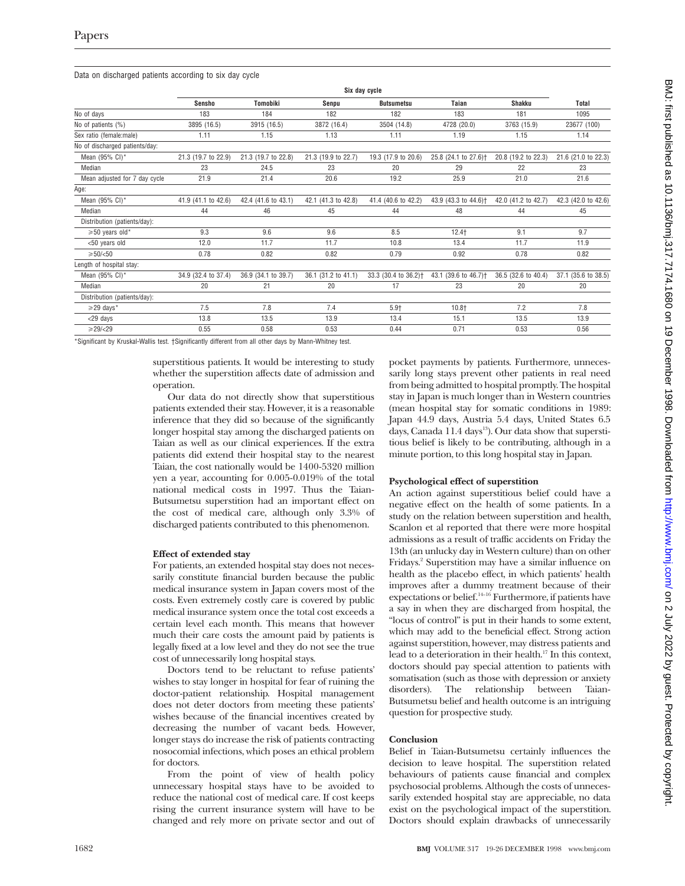|                                | Six day cycle       |                     |                     |                                  |                                  |                     |                     |  |
|--------------------------------|---------------------|---------------------|---------------------|----------------------------------|----------------------------------|---------------------|---------------------|--|
|                                | <b>Sensho</b>       | Tomobiki            | Senpu               | <b>Butsumetsu</b>                | Taian                            | <b>Shakku</b>       | <b>Total</b>        |  |
| No of days                     | 183                 | 184                 | 182                 | 182                              | 183                              | 181                 | 1095                |  |
| No of patients (%)             | 3895 (16.5)         | 3915 (16.5)         | 3872 (16.4)         | 3504 (14.8)                      | 4728 (20.0)                      | 3763 (15.9)         | 23677 (100)         |  |
| Sex ratio (female:male)        | 1.11                | 1.15                | 1.13                | 1.11                             | 1.19                             | 1.15                | 1.14                |  |
| No of discharged patients/day: |                     |                     |                     |                                  |                                  |                     |                     |  |
| Mean (95% CI)*                 | 21.3 (19.7 to 22.9) | 21.3 (19.7 to 22.8) | 21.3 (19.9 to 22.7) | 19.3 (17.9 to 20.6)              | 25.8 (24.1 to 27.6) <sup>+</sup> | 20.8 (19.2 to 22.3) | 21.6 (21.0 to 22.3) |  |
| Median                         | 23                  | 24.5                | 23                  | 20                               | 29                               | 22                  | 23                  |  |
| Mean adjusted for 7 day cycle  | 21.9                | 21.4                | 20.6                | 19.2                             | 25.9                             | 21.0                | 21.6                |  |
| Age:                           |                     |                     |                     |                                  |                                  |                     |                     |  |
| Mean $(95\% \text{ Cl})^*$     | 41.9 (41.1 to 42.6) | 42.4 (41.6 to 43.1) | 42.1 (41.3 to 42.8) | 41.4 (40.6 to 42.2)              | 43.9 (43.3 to 44.6) <sup>+</sup> | 42.0 (41.2 to 42.7) | 42.3 (42.0 to 42.6) |  |
| Median                         | 44                  | 46                  | 45                  | 44                               | 48                               | 44                  | 45                  |  |
| Distribution (patients/day):   |                     |                     |                     |                                  |                                  |                     |                     |  |
| $\geq 50$ years old*           | 9.3                 | 9.6                 | 9.6                 | 8.5                              | $12.4+$                          | 9.1                 | 9.7                 |  |
| <50 years old                  | 12.0                | 11.7                | 11.7                | 10.8                             | 13.4                             | 11.7                | 11.9                |  |
| $\geq 50/\leq 50$              | 0.78                | 0.82                | 0.82                | 0.79                             | 0.92                             | 0.78                | 0.82                |  |
| Length of hospital stay:       |                     |                     |                     |                                  |                                  |                     |                     |  |
| Mean (95% CI)*                 | 34.9 (32.4 to 37.4) | 36.9 (34.1 to 39.7) | 36.1 (31.2 to 41.1) | 33.3 (30.4 to 36.2) <sup>+</sup> | 43.1 (39.6 to 46.7) <sup>+</sup> | 36.5 (32.6 to 40.4) | 37.1 (35.6 to 38.5) |  |
| Median                         | 20                  | 21                  | 20                  | 17                               | 23                               | 20                  | 20                  |  |
| Distribution (patients/day):   |                     |                     |                     |                                  |                                  |                     |                     |  |
| $\geq$ 29 days*                | 7.5                 | 7.8                 | 7.4                 | 5.9†                             | $10.8+$                          | 7.2                 | 7.8                 |  |
| <29 days                       | 13.8                | 13.5                | 13.9                | 13.4                             | 15.1                             | 13.5                | 13.9                |  |
| $\geq 29$ /<29                 | 0.55                | 0.58                | 0.53                | 0.44                             | 0.71                             | 0.53                | 0.56                |  |

\*Significant by Kruskal-Wallis test. †Significantly different from all other days by Mann-Whitney test.

superstitious patients. It would be interesting to study whether the superstition affects date of admission and operation.

Our data do not directly show that superstitious patients extended their stay. However, it is a reasonable inference that they did so because of the significantly longer hospital stay among the discharged patients on Taian as well as our clinical experiences. If the extra patients did extend their hospital stay to the nearest Taian, the cost nationally would be 1400-5320 million yen a year, accounting for 0.005-0.019% of the total national medical costs in 1997. Thus the Taian-Butsumetsu superstition had an important effect on the cost of medical care, although only 3.3% of discharged patients contributed to this phenomenon.

#### **Effect of extended stay**

For patients, an extended hospital stay does not necessarily constitute financial burden because the public medical insurance system in Japan covers most of the costs. Even extremely costly care is covered by public medical insurance system once the total cost exceeds a certain level each month. This means that however much their care costs the amount paid by patients is legally fixed at a low level and they do not see the true cost of unnecessarily long hospital stays.

Doctors tend to be reluctant to refuse patients' wishes to stay longer in hospital for fear of ruining the doctor-patient relationship. Hospital management does not deter doctors from meeting these patients' wishes because of the financial incentives created by decreasing the number of vacant beds. However, longer stays do increase the risk of patients contracting nosocomial infections, which poses an ethical problem for doctors.

From the point of view of health policy unnecessary hospital stays have to be avoided to reduce the national cost of medical care. If cost keeps rising the current insurance system will have to be changed and rely more on private sector and out of pocket payments by patients. Furthermore, unnecessarily long stays prevent other patients in real need from being admitted to hospital promptly. The hospital stay in Japan is much longer than in Western countries (mean hospital stay for somatic conditions in 1989: Japan 44.9 days, Austria 5.4 days, United States 6.5 days, Canada  $11.4 \text{ days}^{13}$ ). Our data show that superstitious belief is likely to be contributing, although in a minute portion, to this long hospital stay in Japan.

#### **Psychological effect of superstition**

An action against superstitious belief could have a negative effect on the health of some patients. In a study on the relation between superstition and health, Scanlon et al reported that there were more hospital admissions as a result of traffic accidents on Friday the 13th (an unlucky day in Western culture) than on other Fridays.<sup>2</sup> Superstition may have a similar influence on health as the placebo effect, in which patients' health improves after a dummy treatment because of their expectations or belief.<sup>14–16</sup> Furthermore, if patients have a say in when they are discharged from hospital, the "locus of control" is put in their hands to some extent, which may add to the beneficial effect. Strong action against superstition, however, may distress patients and lead to a deterioration in their health.17 In this context, doctors should pay special attention to patients with somatisation (such as those with depression or anxiety disorders). The relationship between Taian-Butsumetsu belief and health outcome is an intriguing question for prospective study.

#### **Conclusion**

Belief in Taian-Butsumetsu certainly influences the decision to leave hospital. The superstition related behaviours of patients cause financial and complex psychosocial problems. Although the costs of unnecessarily extended hospital stay are appreciable, no data exist on the psychological impact of the superstition. Doctors should explain drawbacks of unnecessarily